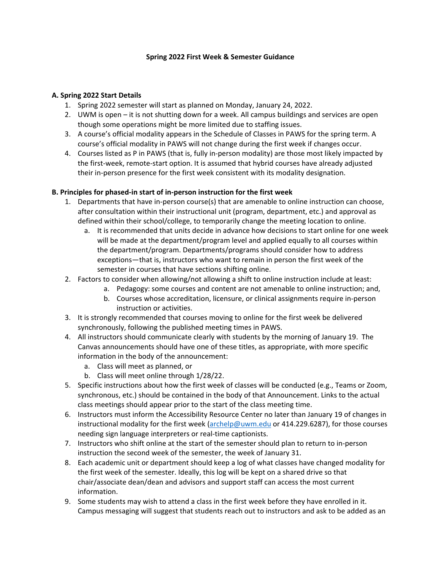## **Spring 2022 First Week & Semester Guidance**

## **A. Spring 2022 Start Details**

- 1. Spring 2022 semester will start as planned on Monday, January 24, 2022.
- 2. UWM is open it is not shutting down for a week. All campus buildings and services are open though some operations might be more limited due to staffing issues.
- 3. A course's official modality appears in the Schedule of Classes in PAWS for the spring term. A course's official modality in PAWS will not change during the first week if changes occur.
- 4. Courses listed as P in PAWS (that is, fully in-person modality) are those most likely impacted by the first-week, remote-start option. It is assumed that hybrid courses have already adjusted their in-person presence for the first week consistent with its modality designation.

## **B. Principles for phased-in start of in-person instruction for the first week**

- 1. Departments that have in-person course(s) that are amenable to online instruction can choose, after consultation within their instructional unit (program, department, etc.) and approval as defined within their school/college, to temporarily change the meeting location to online.
	- a. It is recommended that units decide in advance how decisions to start online for one week will be made at the department/program level and applied equally to all courses within the department/program. Departments/programs should consider how to address exceptions—that is, instructors who want to remain in person the first week of the semester in courses that have sections shifting online.
- 2. Factors to consider when allowing/not allowing a shift to online instruction include at least:
	- a. Pedagogy: some courses and content are not amenable to online instruction; and,
	- b. Courses whose accreditation, licensure, or clinical assignments require in-person instruction or activities.
- 3. It is strongly recommended that courses moving to online for the first week be delivered synchronously, following the published meeting times in PAWS.
- 4. All instructors should communicate clearly with students by the morning of January 19. The Canvas announcements should have one of these titles, as appropriate, with more specific information in the body of the announcement:
	- a. Class will meet as planned, or
	- b. Class will meet online through 1/28/22.
- 5. Specific instructions about how the first week of classes will be conducted (e.g., Teams or Zoom, synchronous, etc.) should be contained in the body of that Announcement. Links to the actual class meetings should appear prior to the start of the class meeting time.
- 6. Instructors must inform the Accessibility Resource Center no later than January 19 of changes in instructional modality for the first week [\(archelp@uwm.edu](mailto:archelp@uwm.edu) or 414.229.6287), for those courses needing sign language interpreters or real-time captionists.
- 7. Instructors who shift online at the start of the semester should plan to return to in-person instruction the second week of the semester, the week of January 31.
- 8. Each academic unit or department should keep a log of what classes have changed modality for the first week of the semester. Ideally, this log will be kept on a shared drive so that chair/associate dean/dean and advisors and support staff can access the most current information.
- 9. Some students may wish to attend a class in the first week before they have enrolled in it. Campus messaging will suggest that students reach out to instructors and ask to be added as an